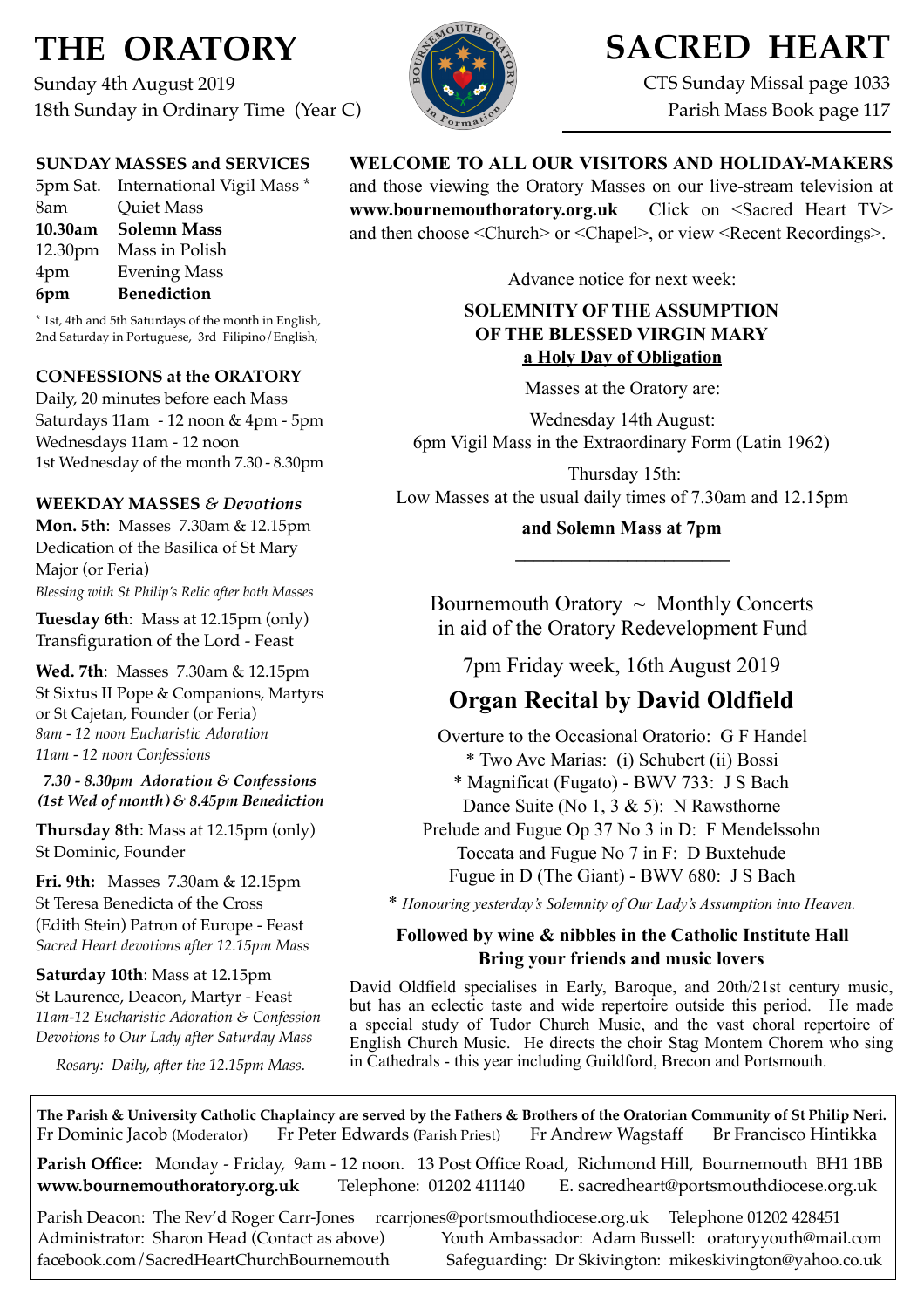# **THE ORATORY**

Sunday 4th August 2019 18th Sunday in Ordinary Time (Year C)



# **SACRED HEART**

CTS Sunday Missal page 1033 Parish Mass Book page 117

### **SUNDAY MASSES and SERVICES**

|     | 5pm Sat. International Vigil Mass * |
|-----|-------------------------------------|
| 8am | <b>Quiet Mass</b>                   |
|     | 10.30am Solemn Mass                 |
|     | 12.30pm Mass in Polish              |
| 4pm | <b>Evening Mass</b>                 |
| 6pm | <b>Benediction</b>                  |

\* 1st, 4th and 5th Saturdays of the month in English, 2nd Saturday in Portuguese, 3rd Filipino/English,

### **CONFESSIONS at the ORATORY**

Daily, 20 minutes before each Mass Saturdays 11am - 12 noon & 4pm - 5pm Wednesdays 11am - 12 noon 1st Wednesday of the month 7.30 - 8.30pm

### **WEEKDAY MASSES** *& Devotions*

**Mon. 5th**: Masses 7.30am & 12.15pm Dedication of the Basilica of St Mary Major (or Feria) *Blessing with St Philip's Relic after both Masses*

**Tuesday 6th**: Mass at 12.15pm (only) Transfiguration of the Lord - Feast

**Wed. 7th**: Masses7.30am & 12.15pm St Sixtus II Pope & Companions, Martyrs or St Cajetan, Founder (or Feria) *8am - 12 noon Eucharistic Adoration 11am - 12 noon Confessions*

*7.30 - 8.30pm Adoration & Confessions (1st Wed of month) & 8.45pm Benediction*

**Thursday 8th**: Mass at 12.15pm (only) St Dominic, Founder

**Fri. 9th:** Masses 7.30am & 12.15pm St Teresa Benedicta of the Cross (Edith Stein) Patron of Europe - Feast *Sacred Heart devotions after 12.15pm Mass*

**Saturday 10th**: Mass at 12.15pm St Laurence, Deacon, Martyr - Feast *11am-12 Eucharistic Adoration & Confession Devotions to Our Lady after Saturday Mass*

*Rosary: Daily, after the 12.15pm Mass.*

### **WELCOME TO ALL OUR VISITORS AND HOLIDAY-MAKERS**

and those viewing the Oratory Masses on our live-stream television at **[www.bournemouthoratory.org.uk](http://www.bournemouthoratory.org.uk)** Click on <Sacred Heart TV> and then choose <Church> or <Chapel>, or view <Recent Recordings>.

Advance notice for next week:

### **SOLEMNITY OF THE ASSUMPTION OF THE BLESSED VIRGIN MARY a Holy Day of Obligation**

Masses at the Oratory are:

Wednesday 14th August: 6pm Vigil Mass in the Extraordinary Form (Latin 1962)

 Thursday 15th: Low Masses at the usual daily times of 7.30am and 12.15pm

> **and Solemn Mass at 7pm \_\_\_\_\_\_\_\_\_\_\_\_\_\_\_\_\_\_\_\_\_\_\_**

Bournemouth Oratory  $\sim$  Monthly Concerts in aid of the Oratory Redevelopment Fund

7pm Friday week, 16th August 2019

## **Organ Recital by David Oldfield**

Overture to the Occasional Oratorio: G F Handel \* Two Ave Marias: (i) Schubert (ii) Bossi \* Magnificat (Fugato) - BWV 733: J S Bach Dance Suite (No 1, 3 & 5): N Rawsthorne Prelude and Fugue Op 37 No 3 in D: F Mendelssohn Toccata and Fugue No 7 in F: D Buxtehude Fugue in D (The Giant) - BWV 680: J S Bach

\* *Honouring yesterday's Solemnity of Our Lady's Assumption into Heaven.*

### **Followed by wine & nibbles in the Catholic Institute Hall Bring your friends and music lovers**

David Oldfield specialises in Early, Baroque, and 20th/21st century music, but has an eclectic taste and wide repertoire outside this period. He made a special study of Tudor Church Music, and the vast choral repertoire of English Church Music. He directs the choir Stag Montem Chorem who sing in Cathedrals - this year including Guildford, Brecon and Portsmouth.

**The Parish & University Catholic Chaplaincy are served by the Fathers & Brothers of the Oratorian Community of St Philip Neri.** Fr Dominic Jacob (Moderator) Fr Peter Edwards (Parish Priest) Fr Andrew Wagstaff Br Francisco Hintikka

**Parish Office:** Monday - Friday, 9am - 12 noon. 13 Post Office Road, Richmond Hill, Bournemouth BH1 1BB **[www.bournemouthoratory.org.uk](http://www.bournemoithoratory.org.uk)** Telephone: 01202 411140 E. [sacredheart@portsmouthdiocese.org.uk](mailto:sacredheart@portsmouthdiocese.org.uk)

Parish Deacon: The Rev'd Roger Carr-Jones [rcarrjones@portsmouthdiocese.org.uk](mailto:rcarrjones@portsmouthdiocese.org.uk) Telephone 01202 428451 Administrator: Sharon Head (Contact as above) Youth Ambassador: Adam Bussell: [oratoryyouth@mail.com](http://oratoryyouth.mail.com) [facebook.com/SacredHeartChurchBournemouth](http://facebook.com/SaccredHeartChurchBournemouth) Safeguarding: Dr Skivington: mikeskivington@yahoo.co.uk